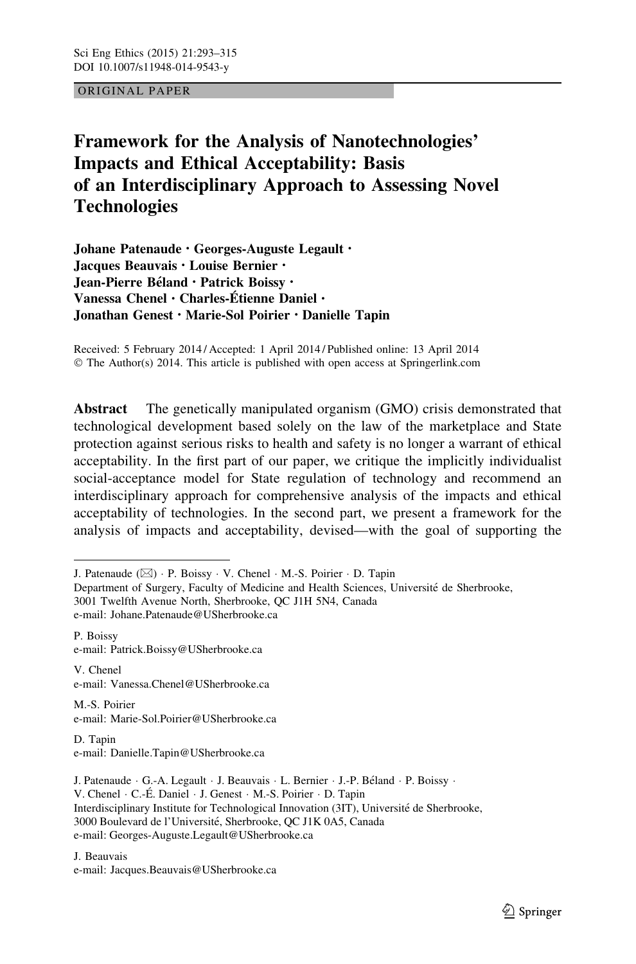#### ORIGINAL PAPER

# Framework for the Analysis of Nanotechnologies' Impacts and Ethical Acceptability: Basis of an Interdisciplinary Approach to Assessing Novel Technologies

Johane Patenaude • Georges-Auguste Legault • Jacques Beauvais • Louise Bernier • Jean-Pierre Béland · Patrick Boissy · Vanessa Chenel · Charles-Étienne Daniel · Jonathan Genest • Marie-Sol Poirier • Danielle Tapin

Received: 5 February 2014 / Accepted: 1 April 2014 / Published online: 13 April 2014 © The Author(s) 2014. This article is published with open access at Springerlink.com

Abstract The genetically manipulated organism (GMO) crisis demonstrated that technological development based solely on the law of the marketplace and State protection against serious risks to health and safety is no longer a warrant of ethical acceptability. In the first part of our paper, we critique the implicitly individualist social-acceptance model for State regulation of technology and recommend an interdisciplinary approach for comprehensive analysis of the impacts and ethical acceptability of technologies. In the second part, we present a framework for the analysis of impacts and acceptability, devised—with the goal of supporting the

P. Boissy e-mail: Patrick.Boissy@USherbrooke.ca

V. Chenel e-mail: Vanessa.Chenel@USherbrooke.ca

M.-S. Poirier e-mail: Marie-Sol.Poirier@USherbrooke.ca

D. Tapin e-mail: Danielle.Tapin@USherbrooke.ca

J. Patenaude · G.-A. Legault · J. Beauvais · L. Bernier · J.-P. Béland · P. Boissy · V. Chenel · C.-É. Daniel · J. Genest · M.-S. Poirier · D. Tapin Interdisciplinary Institute for Technological Innovation (3IT), Université de Sherbrooke, 3000 Boulevard de l'Université, Sherbrooke, QC J1K 0A5, Canada e-mail: Georges-Auguste.Legault@USherbrooke.ca

J. Beauvais e-mail: Jacques.Beauvais@USherbrooke.ca

J. Patenaude (&) - P. Boissy - V. Chenel - M.-S. Poirier - D. Tapin

Department of Surgery, Faculty of Medicine and Health Sciences, Université de Sherbrooke, 3001 Twelfth Avenue North, Sherbrooke, QC J1H 5N4, Canada e-mail: Johane.Patenaude@USherbrooke.ca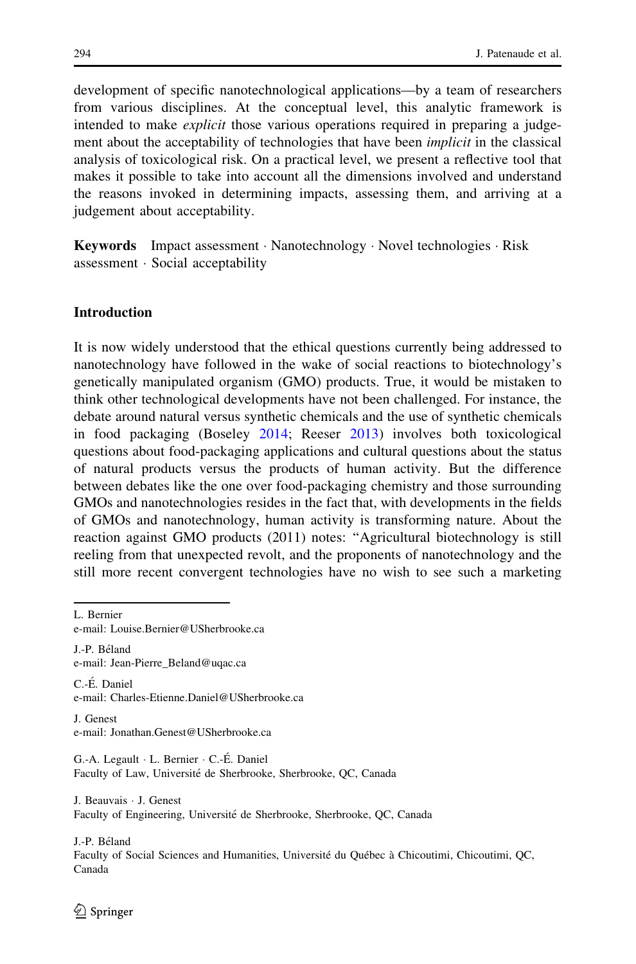development of specific nanotechnological applications—by a team of researchers from various disciplines. At the conceptual level, this analytic framework is intended to make *explicit* those various operations required in preparing a judgement about the acceptability of technologies that have been *implicit* in the classical analysis of toxicological risk. On a practical level, we present a reflective tool that makes it possible to take into account all the dimensions involved and understand the reasons invoked in determining impacts, assessing them, and arriving at a judgement about acceptability.

Keywords Impact assessment · Nanotechnology · Novel technologies · Risk assessment - Social acceptability

# Introduction

It is now widely understood that the ethical questions currently being addressed to nanotechnology have followed in the wake of social reactions to biotechnology's genetically manipulated organism (GMO) products. True, it would be mistaken to think other technological developments have not been challenged. For instance, the debate around natural versus synthetic chemicals and the use of synthetic chemicals in food packaging (Boseley [2014](#page-21-0); Reeser [2013\)](#page-22-0) involves both toxicological questions about food-packaging applications and cultural questions about the status of natural products versus the products of human activity. But the difference between debates like the one over food-packaging chemistry and those surrounding GMOs and nanotechnologies resides in the fact that, with developments in the fields of GMOs and nanotechnology, human activity is transforming nature. About the reaction against GMO products (2011) notes: ''Agricultural biotechnology is still reeling from that unexpected revolt, and the proponents of nanotechnology and the still more recent convergent technologies have no wish to see such a marketing

L. Bernier

e-mail: Louise.Bernier@USherbrooke.ca

J.-P. Béland e-mail: Jean-Pierre\_Beland@uqac.ca

C.-E´. Daniel e-mail: Charles-Etienne.Daniel@USherbrooke.ca

J. Genest e-mail: Jonathan.Genest@USherbrooke.ca

G.-A. Legault - L. Bernier - C.-E´. Daniel Faculty of Law, Université de Sherbrooke, Sherbrooke, QC, Canada

J. Beauvais - J. Genest Faculty of Engineering, Université de Sherbrooke, Sherbrooke, QC, Canada

J.-P. Béland Faculty of Social Sciences and Humanities, Université du Québec à Chicoutimi, Chicoutimi, QC, Canada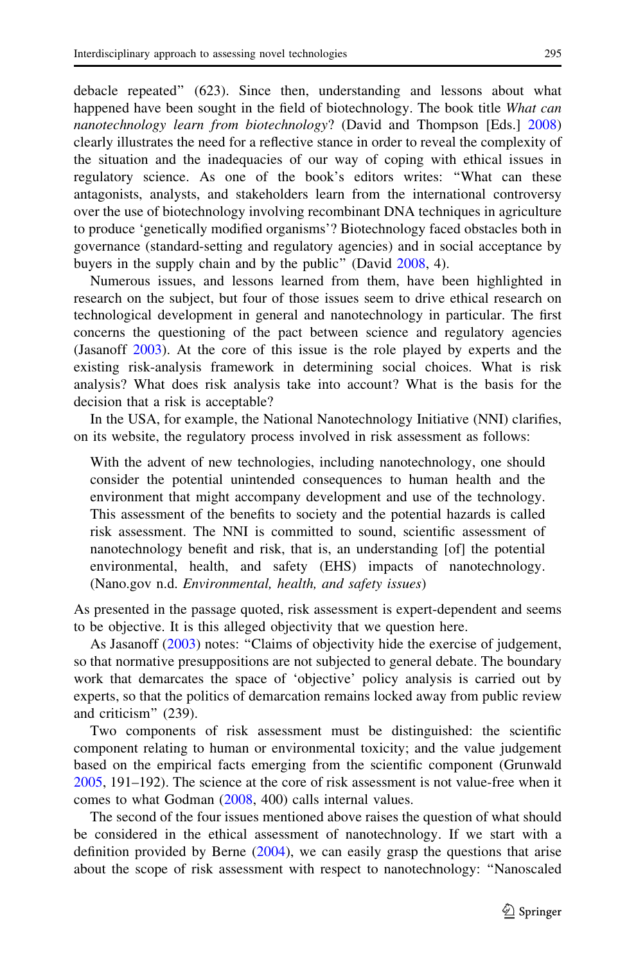debacle repeated'' (623). Since then, understanding and lessons about what happened have been sought in the field of biotechnology. The book title What can nanotechnology learn from biotechnology? (David and Thompson [Eds.] [2008\)](#page-21-0) clearly illustrates the need for a reflective stance in order to reveal the complexity of the situation and the inadequacies of our way of coping with ethical issues in regulatory science. As one of the book's editors writes: ''What can these antagonists, analysts, and stakeholders learn from the international controversy over the use of biotechnology involving recombinant DNA techniques in agriculture to produce 'genetically modified organisms'? Biotechnology faced obstacles both in governance (standard-setting and regulatory agencies) and in social acceptance by buyers in the supply chain and by the public'' (David [2008](#page-21-0), 4).

Numerous issues, and lessons learned from them, have been highlighted in research on the subject, but four of those issues seem to drive ethical research on technological development in general and nanotechnology in particular. The first concerns the questioning of the pact between science and regulatory agencies (Jasanoff [2003\)](#page-21-0). At the core of this issue is the role played by experts and the existing risk-analysis framework in determining social choices. What is risk analysis? What does risk analysis take into account? What is the basis for the decision that a risk is acceptable?

In the USA, for example, the National Nanotechnology Initiative (NNI) clarifies, on its website, the regulatory process involved in risk assessment as follows:

With the advent of new technologies, including nanotechnology, one should consider the potential unintended consequences to human health and the environment that might accompany development and use of the technology. This assessment of the benefits to society and the potential hazards is called risk assessment. The NNI is committed to sound, scientific assessment of nanotechnology benefit and risk, that is, an understanding [of] the potential environmental, health, and safety (EHS) impacts of nanotechnology. (Nano.gov n.d. Environmental, health, and safety issues)

As presented in the passage quoted, risk assessment is expert-dependent and seems to be objective. It is this alleged objectivity that we question here.

As Jasanoff ([2003](#page-21-0)) notes: "Claims of objectivity hide the exercise of judgement, so that normative presuppositions are not subjected to general debate. The boundary work that demarcates the space of 'objective' policy analysis is carried out by experts, so that the politics of demarcation remains locked away from public review and criticism'' (239).

Two components of risk assessment must be distinguished: the scientific component relating to human or environmental toxicity; and the value judgement based on the empirical facts emerging from the scientific component (Grunwald [2005,](#page-21-0) 191–192). The science at the core of risk assessment is not value-free when it comes to what Godman ([2008,](#page-21-0) 400) calls internal values.

The second of the four issues mentioned above raises the question of what should be considered in the ethical assessment of nanotechnology. If we start with a definition provided by Berne  $(2004)$  $(2004)$ , we can easily grasp the questions that arise about the scope of risk assessment with respect to nanotechnology: ''Nanoscaled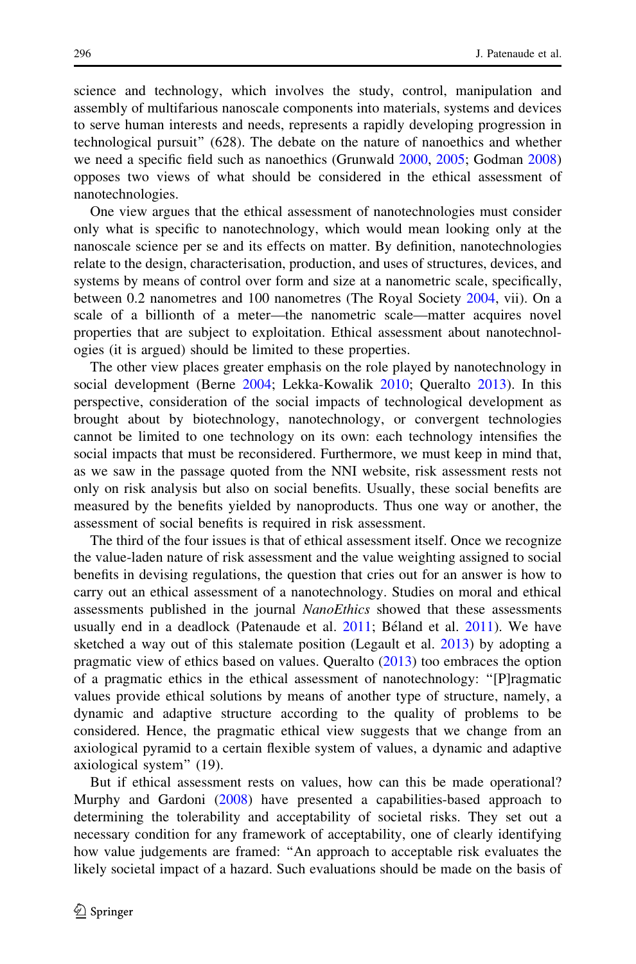science and technology, which involves the study, control, manipulation and assembly of multifarious nanoscale components into materials, systems and devices to serve human interests and needs, represents a rapidly developing progression in technological pursuit'' (628). The debate on the nature of nanoethics and whether we need a specific field such as nanoethics (Grunwald [2000,](#page-21-0) [2005](#page-21-0); Godman [2008](#page-21-0)) opposes two views of what should be considered in the ethical assessment of nanotechnologies.

One view argues that the ethical assessment of nanotechnologies must consider only what is specific to nanotechnology, which would mean looking only at the nanoscale science per se and its effects on matter. By definition, nanotechnologies relate to the design, characterisation, production, and uses of structures, devices, and systems by means of control over form and size at a nanometric scale, specifically, between 0.2 nanometres and 100 nanometres (The Royal Society [2004](#page-22-0), vii). On a scale of a billionth of a meter—the nanometric scale—matter acquires novel properties that are subject to exploitation. Ethical assessment about nanotechnologies (it is argued) should be limited to these properties.

The other view places greater emphasis on the role played by nanotechnology in social development (Berne [2004;](#page-21-0) Lekka-Kowalik [2010;](#page-22-0) Queralto [2013](#page-22-0)). In this perspective, consideration of the social impacts of technological development as brought about by biotechnology, nanotechnology, or convergent technologies cannot be limited to one technology on its own: each technology intensifies the social impacts that must be reconsidered. Furthermore, we must keep in mind that, as we saw in the passage quoted from the NNI website, risk assessment rests not only on risk analysis but also on social benefits. Usually, these social benefits are measured by the benefits yielded by nanoproducts. Thus one way or another, the assessment of social benefits is required in risk assessment.

The third of the four issues is that of ethical assessment itself. Once we recognize the value-laden nature of risk assessment and the value weighting assigned to social benefits in devising regulations, the question that cries out for an answer is how to carry out an ethical assessment of a nanotechnology. Studies on moral and ethical assessments published in the journal *NanoEthics* showed that these assessments usually end in a deadlock (Patenaude et al. [2011;](#page-22-0) Béland et al. [2011\)](#page-21-0). We have sketched a way out of this stalemate position (Legault et al. [2013](#page-22-0)) by adopting a pragmatic view of ethics based on values. Queralto ([2013\)](#page-22-0) too embraces the option of a pragmatic ethics in the ethical assessment of nanotechnology: ''[P]ragmatic values provide ethical solutions by means of another type of structure, namely, a dynamic and adaptive structure according to the quality of problems to be considered. Hence, the pragmatic ethical view suggests that we change from an axiological pyramid to a certain flexible system of values, a dynamic and adaptive axiological system'' (19).

But if ethical assessment rests on values, how can this be made operational? Murphy and Gardoni [\(2008](#page-22-0)) have presented a capabilities-based approach to determining the tolerability and acceptability of societal risks. They set out a necessary condition for any framework of acceptability, one of clearly identifying how value judgements are framed: ''An approach to acceptable risk evaluates the likely societal impact of a hazard. Such evaluations should be made on the basis of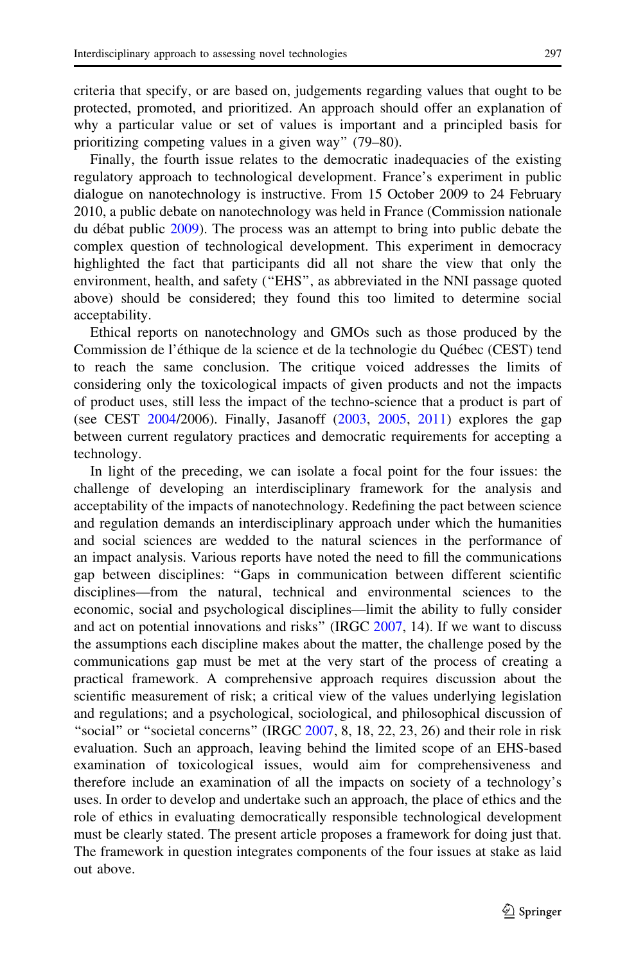criteria that specify, or are based on, judgements regarding values that ought to be protected, promoted, and prioritized. An approach should offer an explanation of why a particular value or set of values is important and a principled basis for prioritizing competing values in a given way'' (79–80).

Finally, the fourth issue relates to the democratic inadequacies of the existing regulatory approach to technological development. France's experiment in public dialogue on nanotechnology is instructive. From 15 October 2009 to 24 February 2010, a public debate on nanotechnology was held in France (Commission nationale du débat public [2009\)](#page-21-0). The process was an attempt to bring into public debate the complex question of technological development. This experiment in democracy highlighted the fact that participants did all not share the view that only the environment, health, and safety (''EHS'', as abbreviated in the NNI passage quoted above) should be considered; they found this too limited to determine social acceptability.

Ethical reports on nanotechnology and GMOs such as those produced by the Commission de l'éthique de la science et de la technologie du Québec (CEST) tend to reach the same conclusion. The critique voiced addresses the limits of considering only the toxicological impacts of given products and not the impacts of product uses, still less the impact of the techno-science that a product is part of (see CEST [2004/](#page-21-0)2006). Finally, Jasanoff ([2003,](#page-21-0) [2005](#page-21-0), [2011\)](#page-22-0) explores the gap between current regulatory practices and democratic requirements for accepting a technology.

In light of the preceding, we can isolate a focal point for the four issues: the challenge of developing an interdisciplinary framework for the analysis and acceptability of the impacts of nanotechnology. Redefining the pact between science and regulation demands an interdisciplinary approach under which the humanities and social sciences are wedded to the natural sciences in the performance of an impact analysis. Various reports have noted the need to fill the communications gap between disciplines: ''Gaps in communication between different scientific disciplines—from the natural, technical and environmental sciences to the economic, social and psychological disciplines—limit the ability to fully consider and act on potential innovations and risks'' (IRGC [2007](#page-21-0), 14). If we want to discuss the assumptions each discipline makes about the matter, the challenge posed by the communications gap must be met at the very start of the process of creating a practical framework. A comprehensive approach requires discussion about the scientific measurement of risk; a critical view of the values underlying legislation and regulations; and a psychological, sociological, and philosophical discussion of "social" or "societal concerns" (IRGC [2007,](#page-21-0) 8, 18, 22, 23, 26) and their role in risk evaluation. Such an approach, leaving behind the limited scope of an EHS-based examination of toxicological issues, would aim for comprehensiveness and therefore include an examination of all the impacts on society of a technology's uses. In order to develop and undertake such an approach, the place of ethics and the role of ethics in evaluating democratically responsible technological development must be clearly stated. The present article proposes a framework for doing just that. The framework in question integrates components of the four issues at stake as laid out above.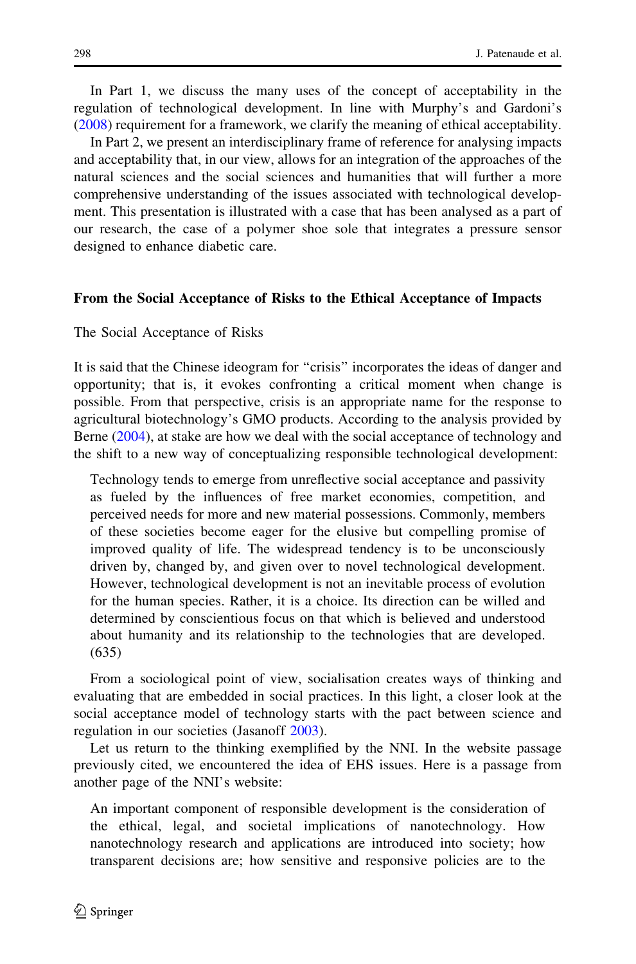<span id="page-5-0"></span>In Part 1, we discuss the many uses of the concept of acceptability in the regulation of technological development. In line with Murphy's and Gardoni's [\(2008](#page-22-0)) requirement for a framework, we clarify the meaning of ethical acceptability.

In Part 2, we present an interdisciplinary frame of reference for analysing impacts and acceptability that, in our view, allows for an integration of the approaches of the natural sciences and the social sciences and humanities that will further a more comprehensive understanding of the issues associated with technological development. This presentation is illustrated with a case that has been analysed as a part of our research, the case of a polymer shoe sole that integrates a pressure sensor designed to enhance diabetic care.

#### From the Social Acceptance of Risks to the Ethical Acceptance of Impacts

The Social Acceptance of Risks

It is said that the Chinese ideogram for ''crisis'' incorporates the ideas of danger and opportunity; that is, it evokes confronting a critical moment when change is possible. From that perspective, crisis is an appropriate name for the response to agricultural biotechnology's GMO products. According to the analysis provided by Berne ([2004\)](#page-21-0), at stake are how we deal with the social acceptance of technology and the shift to a new way of conceptualizing responsible technological development:

Technology tends to emerge from unreflective social acceptance and passivity as fueled by the influences of free market economies, competition, and perceived needs for more and new material possessions. Commonly, members of these societies become eager for the elusive but compelling promise of improved quality of life. The widespread tendency is to be unconsciously driven by, changed by, and given over to novel technological development. However, technological development is not an inevitable process of evolution for the human species. Rather, it is a choice. Its direction can be willed and determined by conscientious focus on that which is believed and understood about humanity and its relationship to the technologies that are developed. (635)

From a sociological point of view, socialisation creates ways of thinking and evaluating that are embedded in social practices. In this light, a closer look at the social acceptance model of technology starts with the pact between science and regulation in our societies (Jasanoff [2003](#page-21-0)).

Let us return to the thinking exemplified by the NNI. In the website passage previously cited, we encountered the idea of EHS issues. Here is a passage from another page of the NNI's website:

An important component of responsible development is the consideration of the ethical, legal, and societal implications of nanotechnology. How nanotechnology research and applications are introduced into society; how transparent decisions are; how sensitive and responsive policies are to the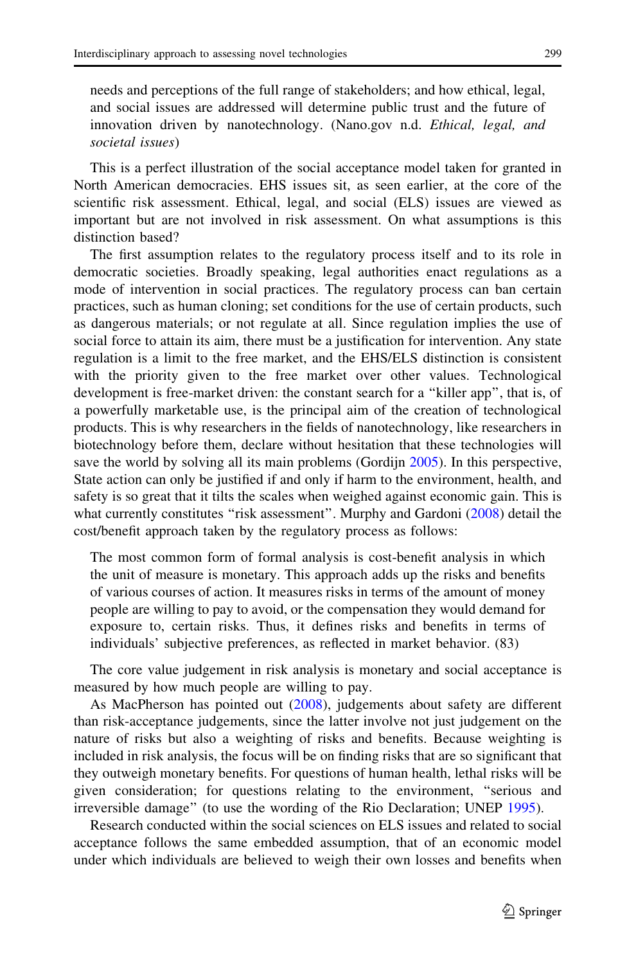needs and perceptions of the full range of stakeholders; and how ethical, legal, and social issues are addressed will determine public trust and the future of innovation driven by nanotechnology. (Nano.gov n.d. *Ethical, legal, and* societal issues)

This is a perfect illustration of the social acceptance model taken for granted in North American democracies. EHS issues sit, as seen earlier, at the core of the scientific risk assessment. Ethical, legal, and social (ELS) issues are viewed as important but are not involved in risk assessment. On what assumptions is this distinction based?

The first assumption relates to the regulatory process itself and to its role in democratic societies. Broadly speaking, legal authorities enact regulations as a mode of intervention in social practices. The regulatory process can ban certain practices, such as human cloning; set conditions for the use of certain products, such as dangerous materials; or not regulate at all. Since regulation implies the use of social force to attain its aim, there must be a justification for intervention. Any state regulation is a limit to the free market, and the EHS/ELS distinction is consistent with the priority given to the free market over other values. Technological development is free-market driven: the constant search for a ''killer app'', that is, of a powerfully marketable use, is the principal aim of the creation of technological products. This is why researchers in the fields of nanotechnology, like researchers in biotechnology before them, declare without hesitation that these technologies will save the world by solving all its main problems (Gordijn [2005](#page-21-0)). In this perspective, State action can only be justified if and only if harm to the environment, health, and safety is so great that it tilts the scales when weighed against economic gain. This is what currently constitutes "risk assessment". Murphy and Gardoni [\(2008](#page-22-0)) detail the cost/benefit approach taken by the regulatory process as follows:

The most common form of formal analysis is cost-benefit analysis in which the unit of measure is monetary. This approach adds up the risks and benefits of various courses of action. It measures risks in terms of the amount of money people are willing to pay to avoid, or the compensation they would demand for exposure to, certain risks. Thus, it defines risks and benefits in terms of individuals' subjective preferences, as reflected in market behavior. (83)

The core value judgement in risk analysis is monetary and social acceptance is measured by how much people are willing to pay.

As MacPherson has pointed out [\(2008](#page-22-0)), judgements about safety are different than risk-acceptance judgements, since the latter involve not just judgement on the nature of risks but also a weighting of risks and benefits. Because weighting is included in risk analysis, the focus will be on finding risks that are so significant that they outweigh monetary benefits. For questions of human health, lethal risks will be given consideration; for questions relating to the environment, ''serious and irreversible damage'' (to use the wording of the Rio Declaration; UNEP [1995](#page-22-0)).

Research conducted within the social sciences on ELS issues and related to social acceptance follows the same embedded assumption, that of an economic model under which individuals are believed to weigh their own losses and benefits when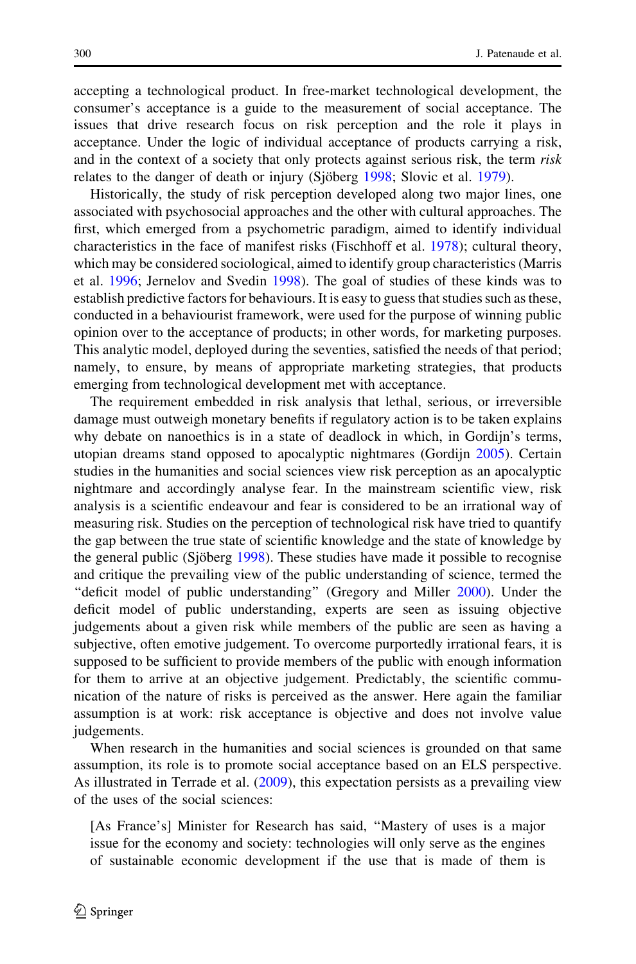accepting a technological product. In free-market technological development, the consumer's acceptance is a guide to the measurement of social acceptance. The issues that drive research focus on risk perception and the role it plays in acceptance. Under the logic of individual acceptance of products carrying a risk, and in the context of a society that only protects against serious risk, the term risk relates to the danger of death or injury (Sjöberg [1998](#page-22-0); Slovic et al. [1979\)](#page-22-0).

Historically, the study of risk perception developed along two major lines, one associated with psychosocial approaches and the other with cultural approaches. The first, which emerged from a psychometric paradigm, aimed to identify individual characteristics in the face of manifest risks (Fischhoff et al. [1978](#page-21-0)); cultural theory, which may be considered sociological, aimed to identify group characteristics (Marris et al. [1996](#page-22-0); Jernelov and Svedin [1998](#page-22-0)). The goal of studies of these kinds was to establish predictive factors for behaviours. It is easy to guess that studies such as these, conducted in a behaviourist framework, were used for the purpose of winning public opinion over to the acceptance of products; in other words, for marketing purposes. This analytic model, deployed during the seventies, satisfied the needs of that period; namely, to ensure, by means of appropriate marketing strategies, that products emerging from technological development met with acceptance.

The requirement embedded in risk analysis that lethal, serious, or irreversible damage must outweigh monetary benefits if regulatory action is to be taken explains why debate on nanoethics is in a state of deadlock in which, in Gordijn's terms, utopian dreams stand opposed to apocalyptic nightmares (Gordijn [2005](#page-21-0)). Certain studies in the humanities and social sciences view risk perception as an apocalyptic nightmare and accordingly analyse fear. In the mainstream scientific view, risk analysis is a scientific endeavour and fear is considered to be an irrational way of measuring risk. Studies on the perception of technological risk have tried to quantify the gap between the true state of scientific knowledge and the state of knowledge by the general public (Sjöberg [1998](#page-22-0)). These studies have made it possible to recognise and critique the prevailing view of the public understanding of science, termed the ''deficit model of public understanding'' (Gregory and Miller [2000\)](#page-21-0). Under the deficit model of public understanding, experts are seen as issuing objective judgements about a given risk while members of the public are seen as having a subjective, often emotive judgement. To overcome purportedly irrational fears, it is supposed to be sufficient to provide members of the public with enough information for them to arrive at an objective judgement. Predictably, the scientific communication of the nature of risks is perceived as the answer. Here again the familiar assumption is at work: risk acceptance is objective and does not involve value judgements.

When research in the humanities and social sciences is grounded on that same assumption, its role is to promote social acceptance based on an ELS perspective. As illustrated in Terrade et al. ([2009\)](#page-22-0), this expectation persists as a prevailing view of the uses of the social sciences:

[As France's] Minister for Research has said, "Mastery of uses is a major issue for the economy and society: technologies will only serve as the engines of sustainable economic development if the use that is made of them is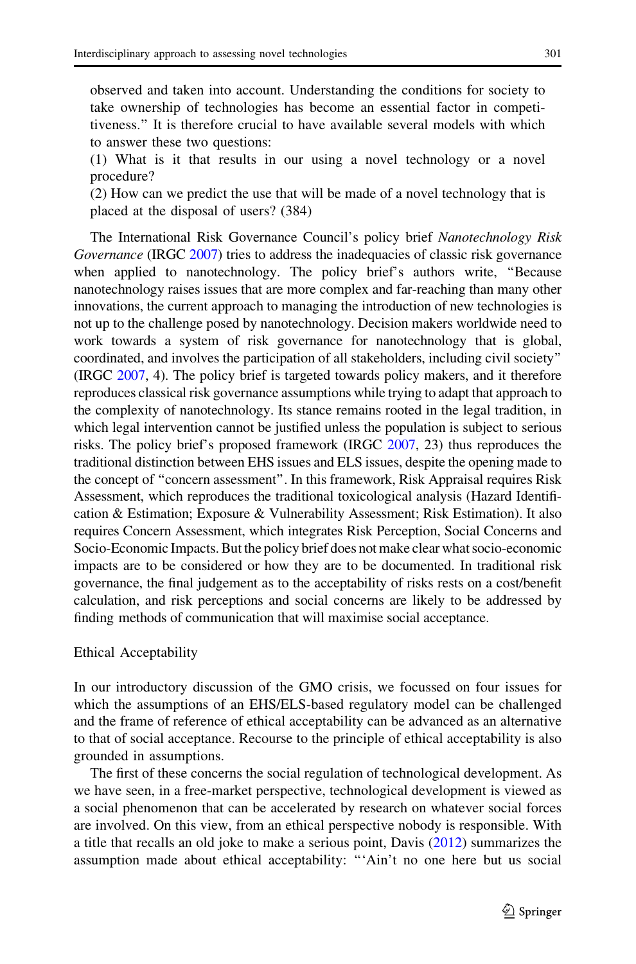observed and taken into account. Understanding the conditions for society to take ownership of technologies has become an essential factor in competitiveness.'' It is therefore crucial to have available several models with which to answer these two questions:

(1) What is it that results in our using a novel technology or a novel procedure?

(2) How can we predict the use that will be made of a novel technology that is placed at the disposal of users? (384)

The International Risk Governance Council's policy brief Nanotechnology Risk Governance (IRGC [2007\)](#page-21-0) tries to address the inadequacies of classic risk governance when applied to nanotechnology. The policy brief's authors write, ''Because nanotechnology raises issues that are more complex and far-reaching than many other innovations, the current approach to managing the introduction of new technologies is not up to the challenge posed by nanotechnology. Decision makers worldwide need to work towards a system of risk governance for nanotechnology that is global, coordinated, and involves the participation of all stakeholders, including civil society'' (IRGC [2007](#page-21-0), 4). The policy brief is targeted towards policy makers, and it therefore reproduces classical risk governance assumptions while trying to adapt that approach to the complexity of nanotechnology. Its stance remains rooted in the legal tradition, in which legal intervention cannot be justified unless the population is subject to serious risks. The policy brief's proposed framework (IRGC [2007](#page-21-0), 23) thus reproduces the traditional distinction between EHS issues and ELS issues, despite the opening made to the concept of ''concern assessment''. In this framework, Risk Appraisal requires Risk Assessment, which reproduces the traditional toxicological analysis (Hazard Identification & Estimation; Exposure & Vulnerability Assessment; Risk Estimation). It also requires Concern Assessment, which integrates Risk Perception, Social Concerns and Socio-Economic Impacts. But the policy brief does not make clear what socio-economic impacts are to be considered or how they are to be documented. In traditional risk governance, the final judgement as to the acceptability of risks rests on a cost/benefit calculation, and risk perceptions and social concerns are likely to be addressed by finding methods of communication that will maximise social acceptance.

#### Ethical Acceptability

In our introductory discussion of the GMO crisis, we focussed on four issues for which the assumptions of an EHS/ELS-based regulatory model can be challenged and the frame of reference of ethical acceptability can be advanced as an alternative to that of social acceptance. Recourse to the principle of ethical acceptability is also grounded in assumptions.

The first of these concerns the social regulation of technological development. As we have seen, in a free-market perspective, technological development is viewed as a social phenomenon that can be accelerated by research on whatever social forces are involved. On this view, from an ethical perspective nobody is responsible. With a title that recalls an old joke to make a serious point, Davis ([2012](#page-21-0)) summarizes the assumption made about ethical acceptability: '''Ain't no one here but us social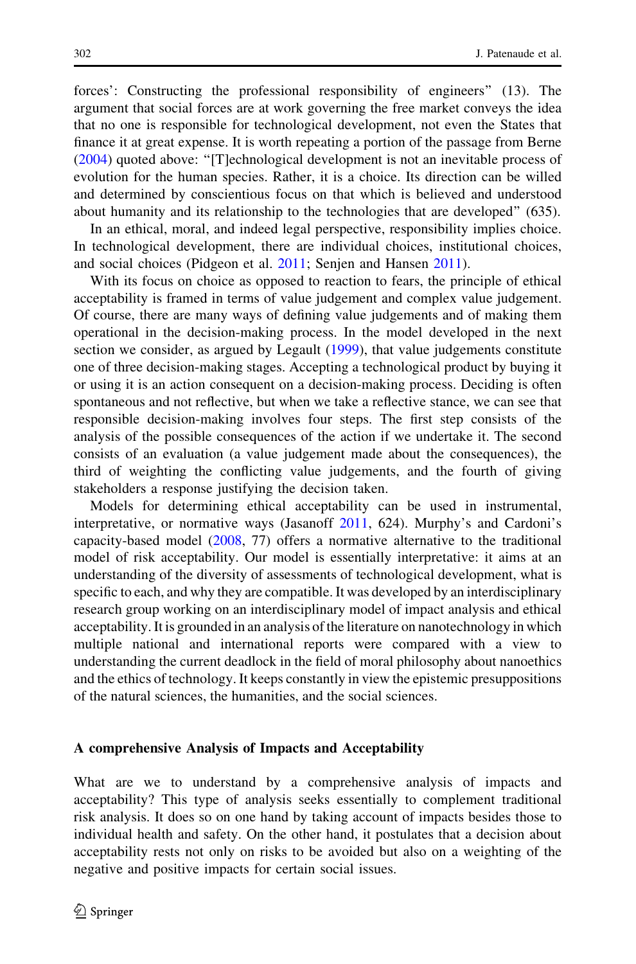forces': Constructing the professional responsibility of engineers'' (13). The argument that social forces are at work governing the free market conveys the idea that no one is responsible for technological development, not even the States that finance it at great expense. It is worth repeating a portion of the passage from Berne [\(2004](#page-21-0)) quoted above: ''[T]echnological development is not an inevitable process of evolution for the human species. Rather, it is a choice. Its direction can be willed and determined by conscientious focus on that which is believed and understood about humanity and its relationship to the technologies that are developed'' (635).

In an ethical, moral, and indeed legal perspective, responsibility implies choice. In technological development, there are individual choices, institutional choices, and social choices (Pidgeon et al. [2011;](#page-22-0) Senjen and Hansen [2011\)](#page-22-0).

With its focus on choice as opposed to reaction to fears, the principle of ethical acceptability is framed in terms of value judgement and complex value judgement. Of course, there are many ways of defining value judgements and of making them operational in the decision-making process. In the model developed in the next section we consider, as argued by Legault [\(1999](#page-22-0)), that value judgements constitute one of three decision-making stages. Accepting a technological product by buying it or using it is an action consequent on a decision-making process. Deciding is often spontaneous and not reflective, but when we take a reflective stance, we can see that responsible decision-making involves four steps. The first step consists of the analysis of the possible consequences of the action if we undertake it. The second consists of an evaluation (a value judgement made about the consequences), the third of weighting the conflicting value judgements, and the fourth of giving stakeholders a response justifying the decision taken.

Models for determining ethical acceptability can be used in instrumental, interpretative, or normative ways (Jasanoff [2011,](#page-22-0) 624). Murphy's and Cardoni's capacity-based model [\(2008](#page-22-0), 77) offers a normative alternative to the traditional model of risk acceptability. Our model is essentially interpretative: it aims at an understanding of the diversity of assessments of technological development, what is specific to each, and why they are compatible. It was developed by an interdisciplinary research group working on an interdisciplinary model of impact analysis and ethical acceptability. It is grounded in an analysis of the literature on nanotechnology in which multiple national and international reports were compared with a view to understanding the current deadlock in the field of moral philosophy about nanoethics and the ethics of technology. It keeps constantly in view the epistemic presuppositions of the natural sciences, the humanities, and the social sciences.

#### A comprehensive Analysis of Impacts and Acceptability

What are we to understand by a comprehensive analysis of impacts and acceptability? This type of analysis seeks essentially to complement traditional risk analysis. It does so on one hand by taking account of impacts besides those to individual health and safety. On the other hand, it postulates that a decision about acceptability rests not only on risks to be avoided but also on a weighting of the negative and positive impacts for certain social issues.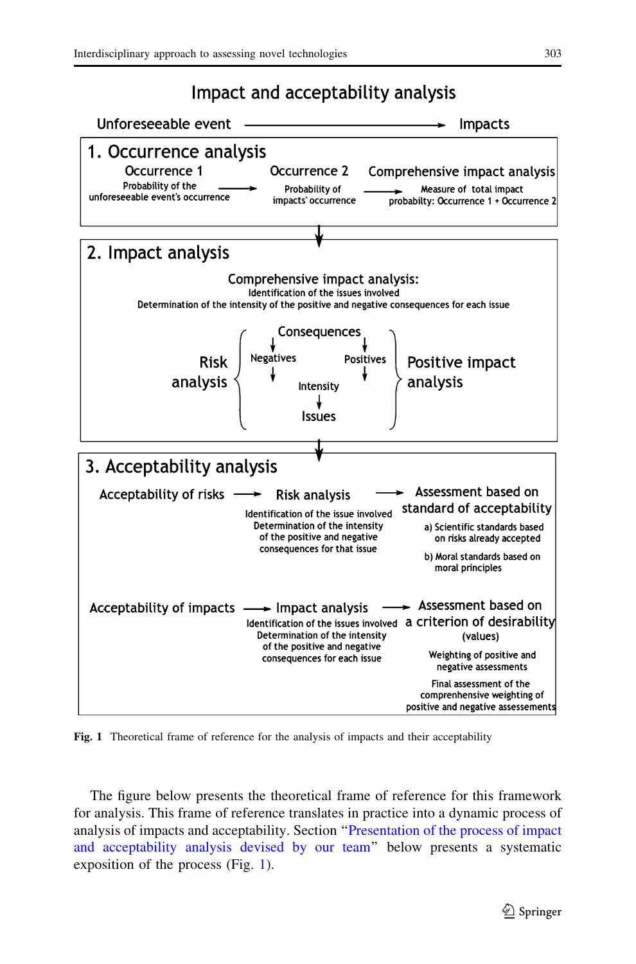# Impact and acceptability analysis



Fig. 1 Theoretical frame of reference for the analysis of impacts and their acceptability

The figure below presents the theoretical frame of reference for this framework for analysis. This frame of reference translates in practice into a dynamic process of analysis of impacts and acceptability. Section ''[Presentation of the process of impact](#page-5-0) [and acceptability analysis devised by our team](#page-5-0)'' below presents a systematic exposition of the process (Fig. 1).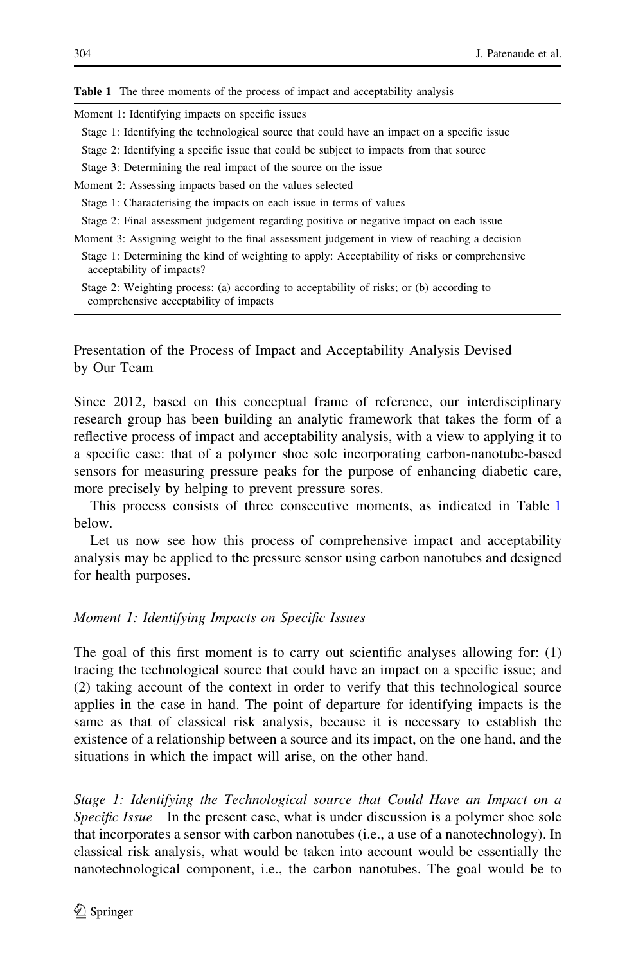Table 1 The three moments of the process of impact and acceptability analysis

Moment 1: Identifying impacts on specific issues

Stage 1: Identifying the technological source that could have an impact on a specific issue

Stage 2: Identifying a specific issue that could be subject to impacts from that source

Stage 3: Determining the real impact of the source on the issue

Moment 2: Assessing impacts based on the values selected

Stage 1: Characterising the impacts on each issue in terms of values

Stage 2: Final assessment judgement regarding positive or negative impact on each issue

Moment 3: Assigning weight to the final assessment judgement in view of reaching a decision

Stage 1: Determining the kind of weighting to apply: Acceptability of risks or comprehensive acceptability of impacts?

Stage 2: Weighting process: (a) according to acceptability of risks; or (b) according to comprehensive acceptability of impacts

Presentation of the Process of Impact and Acceptability Analysis Devised by Our Team

Since 2012, based on this conceptual frame of reference, our interdisciplinary research group has been building an analytic framework that takes the form of a reflective process of impact and acceptability analysis, with a view to applying it to a specific case: that of a polymer shoe sole incorporating carbon-nanotube-based sensors for measuring pressure peaks for the purpose of enhancing diabetic care, more precisely by helping to prevent pressure sores.

This process consists of three consecutive moments, as indicated in Table 1 below.

Let us now see how this process of comprehensive impact and acceptability analysis may be applied to the pressure sensor using carbon nanotubes and designed for health purposes.

# Moment 1: Identifying Impacts on Specific Issues

The goal of this first moment is to carry out scientific analyses allowing for: (1) tracing the technological source that could have an impact on a specific issue; and (2) taking account of the context in order to verify that this technological source applies in the case in hand. The point of departure for identifying impacts is the same as that of classical risk analysis, because it is necessary to establish the existence of a relationship between a source and its impact, on the one hand, and the situations in which the impact will arise, on the other hand.

Stage 1: Identifying the Technological source that Could Have an Impact on a Specific Issue In the present case, what is under discussion is a polymer shoe sole that incorporates a sensor with carbon nanotubes (i.e., a use of a nanotechnology). In classical risk analysis, what would be taken into account would be essentially the nanotechnological component, i.e., the carbon nanotubes. The goal would be to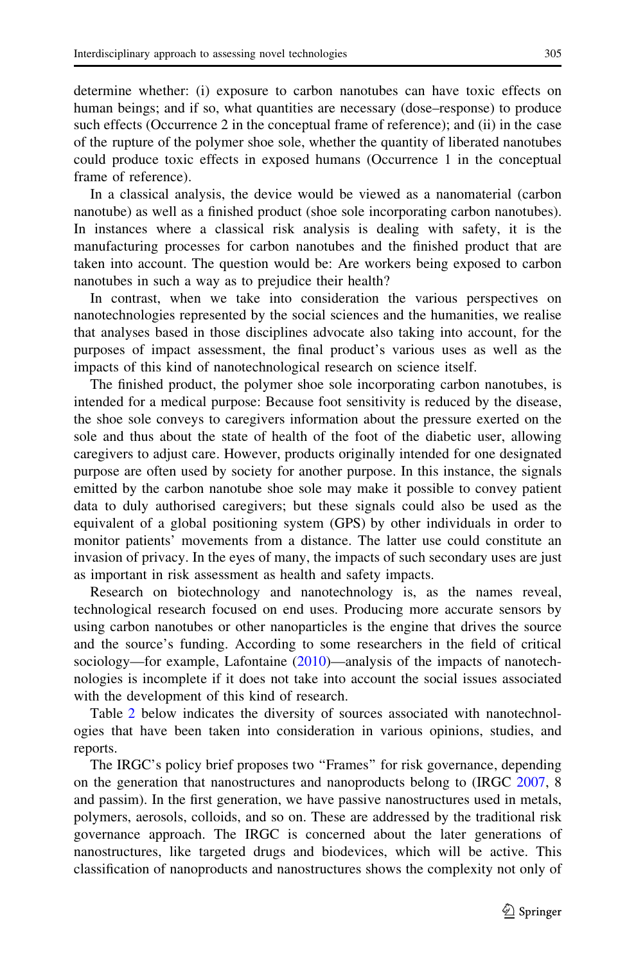determine whether: (i) exposure to carbon nanotubes can have toxic effects on human beings; and if so, what quantities are necessary (dose–response) to produce such effects (Occurrence 2 in the conceptual frame of reference); and (ii) in the case of the rupture of the polymer shoe sole, whether the quantity of liberated nanotubes could produce toxic effects in exposed humans (Occurrence 1 in the conceptual frame of reference).

In a classical analysis, the device would be viewed as a nanomaterial (carbon nanotube) as well as a finished product (shoe sole incorporating carbon nanotubes). In instances where a classical risk analysis is dealing with safety, it is the manufacturing processes for carbon nanotubes and the finished product that are taken into account. The question would be: Are workers being exposed to carbon nanotubes in such a way as to prejudice their health?

In contrast, when we take into consideration the various perspectives on nanotechnologies represented by the social sciences and the humanities, we realise that analyses based in those disciplines advocate also taking into account, for the purposes of impact assessment, the final product's various uses as well as the impacts of this kind of nanotechnological research on science itself.

The finished product, the polymer shoe sole incorporating carbon nanotubes, is intended for a medical purpose: Because foot sensitivity is reduced by the disease, the shoe sole conveys to caregivers information about the pressure exerted on the sole and thus about the state of health of the foot of the diabetic user, allowing caregivers to adjust care. However, products originally intended for one designated purpose are often used by society for another purpose. In this instance, the signals emitted by the carbon nanotube shoe sole may make it possible to convey patient data to duly authorised caregivers; but these signals could also be used as the equivalent of a global positioning system (GPS) by other individuals in order to monitor patients' movements from a distance. The latter use could constitute an invasion of privacy. In the eyes of many, the impacts of such secondary uses are just as important in risk assessment as health and safety impacts.

Research on biotechnology and nanotechnology is, as the names reveal, technological research focused on end uses. Producing more accurate sensors by using carbon nanotubes or other nanoparticles is the engine that drives the source and the source's funding. According to some researchers in the field of critical sociology—for example, Lafontaine [\(2010](#page-22-0))—analysis of the impacts of nanotechnologies is incomplete if it does not take into account the social issues associated with the development of this kind of research.

Table [2](#page-13-0) below indicates the diversity of sources associated with nanotechnologies that have been taken into consideration in various opinions, studies, and reports.

The IRGC's policy brief proposes two ''Frames'' for risk governance, depending on the generation that nanostructures and nanoproducts belong to (IRGC [2007](#page-21-0), 8 and passim). In the first generation, we have passive nanostructures used in metals, polymers, aerosols, colloids, and so on. These are addressed by the traditional risk governance approach. The IRGC is concerned about the later generations of nanostructures, like targeted drugs and biodevices, which will be active. This classification of nanoproducts and nanostructures shows the complexity not only of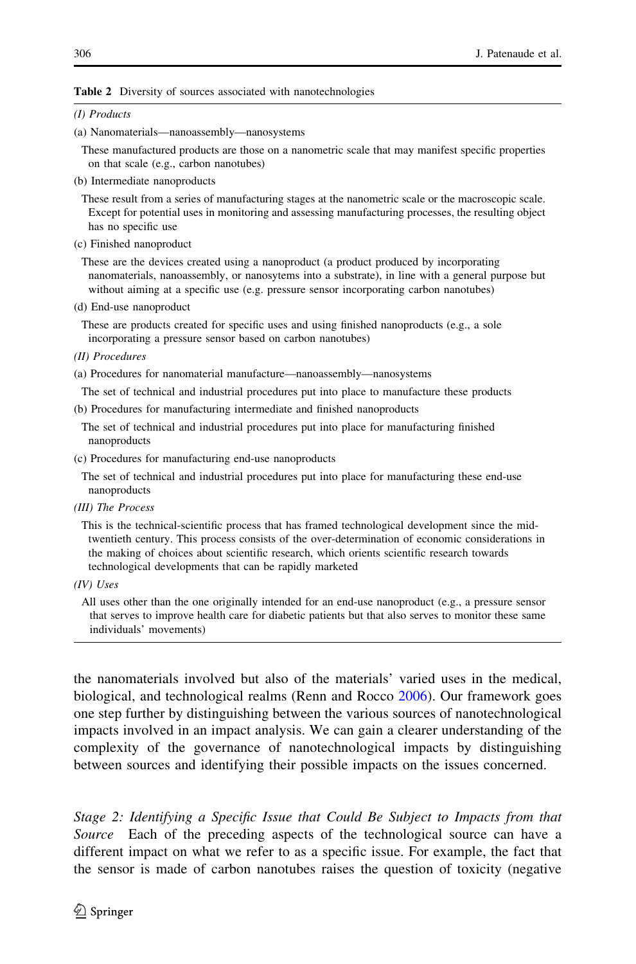#### <span id="page-13-0"></span>Table 2 Diversity of sources associated with nanotechnologies

(I) Products

(a) Nanomaterials—nanoassembly—nanosystems

These manufactured products are those on a nanometric scale that may manifest specific properties on that scale (e.g., carbon nanotubes)

(b) Intermediate nanoproducts

These result from a series of manufacturing stages at the nanometric scale or the macroscopic scale. Except for potential uses in monitoring and assessing manufacturing processes, the resulting object has no specific use

(c) Finished nanoproduct

These are the devices created using a nanoproduct (a product produced by incorporating nanomaterials, nanoassembly, or nanosytems into a substrate), in line with a general purpose but without aiming at a specific use (e.g. pressure sensor incorporating carbon nanotubes)

(d) End-use nanoproduct

These are products created for specific uses and using finished nanoproducts (e.g., a sole incorporating a pressure sensor based on carbon nanotubes)

- (II) Procedures
- (a) Procedures for nanomaterial manufacture—nanoassembly—nanosystems

The set of technical and industrial procedures put into place to manufacture these products

(b) Procedures for manufacturing intermediate and finished nanoproducts

The set of technical and industrial procedures put into place for manufacturing finished nanoproducts

(c) Procedures for manufacturing end-use nanoproducts

The set of technical and industrial procedures put into place for manufacturing these end-use nanoproducts

(III) The Process

This is the technical-scientific process that has framed technological development since the midtwentieth century. This process consists of the over-determination of economic considerations in the making of choices about scientific research, which orients scientific research towards technological developments that can be rapidly marketed

(IV) Uses

All uses other than the one originally intended for an end-use nanoproduct (e.g., a pressure sensor that serves to improve health care for diabetic patients but that also serves to monitor these same individuals' movements)

the nanomaterials involved but also of the materials' varied uses in the medical, biological, and technological realms (Renn and Rocco [2006](#page-22-0)). Our framework goes one step further by distinguishing between the various sources of nanotechnological impacts involved in an impact analysis. We can gain a clearer understanding of the complexity of the governance of nanotechnological impacts by distinguishing between sources and identifying their possible impacts on the issues concerned.

Stage 2: Identifying a Specific Issue that Could Be Subject to Impacts from that Source Each of the preceding aspects of the technological source can have a different impact on what we refer to as a specific issue. For example, the fact that the sensor is made of carbon nanotubes raises the question of toxicity (negative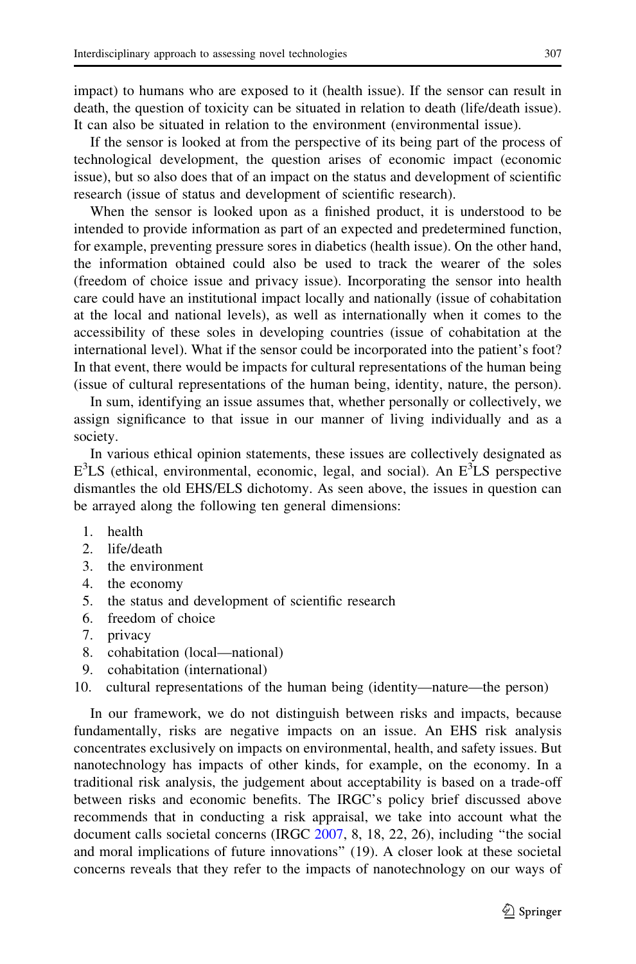impact) to humans who are exposed to it (health issue). If the sensor can result in death, the question of toxicity can be situated in relation to death (life/death issue). It can also be situated in relation to the environment (environmental issue).

If the sensor is looked at from the perspective of its being part of the process of technological development, the question arises of economic impact (economic issue), but so also does that of an impact on the status and development of scientific research (issue of status and development of scientific research).

When the sensor is looked upon as a finished product, it is understood to be intended to provide information as part of an expected and predetermined function, for example, preventing pressure sores in diabetics (health issue). On the other hand, the information obtained could also be used to track the wearer of the soles (freedom of choice issue and privacy issue). Incorporating the sensor into health care could have an institutional impact locally and nationally (issue of cohabitation at the local and national levels), as well as internationally when it comes to the accessibility of these soles in developing countries (issue of cohabitation at the international level). What if the sensor could be incorporated into the patient's foot? In that event, there would be impacts for cultural representations of the human being (issue of cultural representations of the human being, identity, nature, the person).

In sum, identifying an issue assumes that, whether personally or collectively, we assign significance to that issue in our manner of living individually and as a society.

In various ethical opinion statements, these issues are collectively designated as  $E<sup>3</sup>LS$  (ethical, environmental, economic, legal, and social). An  $E<sup>3</sup>LS$  perspective dismantles the old EHS/ELS dichotomy. As seen above, the issues in question can be arrayed along the following ten general dimensions:

- 1. health
- 2. life/death
- 3. the environment
- 4. the economy
- 5. the status and development of scientific research
- 6. freedom of choice
- 7. privacy
- 8. cohabitation (local—national)
- 9. cohabitation (international)
- 10. cultural representations of the human being (identity—nature—the person)

In our framework, we do not distinguish between risks and impacts, because fundamentally, risks are negative impacts on an issue. An EHS risk analysis concentrates exclusively on impacts on environmental, health, and safety issues. But nanotechnology has impacts of other kinds, for example, on the economy. In a traditional risk analysis, the judgement about acceptability is based on a trade-off between risks and economic benefits. The IRGC's policy brief discussed above recommends that in conducting a risk appraisal, we take into account what the document calls societal concerns (IRGC [2007](#page-21-0), 8, 18, 22, 26), including ''the social and moral implications of future innovations'' (19). A closer look at these societal concerns reveals that they refer to the impacts of nanotechnology on our ways of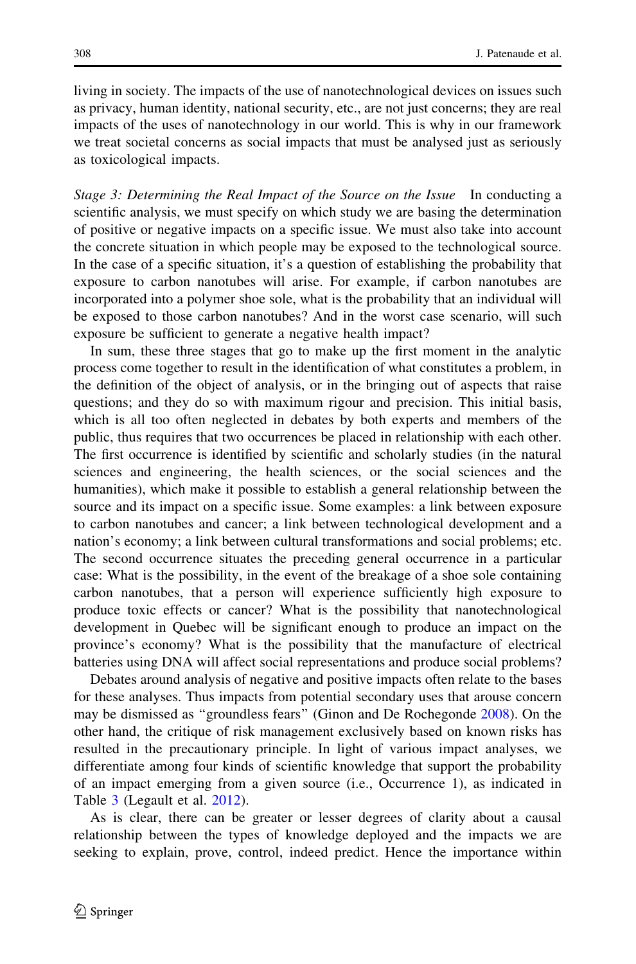living in society. The impacts of the use of nanotechnological devices on issues such as privacy, human identity, national security, etc., are not just concerns; they are real impacts of the uses of nanotechnology in our world. This is why in our framework we treat societal concerns as social impacts that must be analysed just as seriously as toxicological impacts.

Stage 3: Determining the Real Impact of the Source on the Issue In conducting a scientific analysis, we must specify on which study we are basing the determination of positive or negative impacts on a specific issue. We must also take into account the concrete situation in which people may be exposed to the technological source. In the case of a specific situation, it's a question of establishing the probability that exposure to carbon nanotubes will arise. For example, if carbon nanotubes are incorporated into a polymer shoe sole, what is the probability that an individual will be exposed to those carbon nanotubes? And in the worst case scenario, will such exposure be sufficient to generate a negative health impact?

In sum, these three stages that go to make up the first moment in the analytic process come together to result in the identification of what constitutes a problem, in the definition of the object of analysis, or in the bringing out of aspects that raise questions; and they do so with maximum rigour and precision. This initial basis, which is all too often neglected in debates by both experts and members of the public, thus requires that two occurrences be placed in relationship with each other. The first occurrence is identified by scientific and scholarly studies (in the natural sciences and engineering, the health sciences, or the social sciences and the humanities), which make it possible to establish a general relationship between the source and its impact on a specific issue. Some examples: a link between exposure to carbon nanotubes and cancer; a link between technological development and a nation's economy; a link between cultural transformations and social problems; etc. The second occurrence situates the preceding general occurrence in a particular case: What is the possibility, in the event of the breakage of a shoe sole containing carbon nanotubes, that a person will experience sufficiently high exposure to produce toxic effects or cancer? What is the possibility that nanotechnological development in Quebec will be significant enough to produce an impact on the province's economy? What is the possibility that the manufacture of electrical batteries using DNA will affect social representations and produce social problems?

Debates around analysis of negative and positive impacts often relate to the bases for these analyses. Thus impacts from potential secondary uses that arouse concern may be dismissed as ''groundless fears'' (Ginon and De Rochegonde [2008](#page-21-0)). On the other hand, the critique of risk management exclusively based on known risks has resulted in the precautionary principle. In light of various impact analyses, we differentiate among four kinds of scientific knowledge that support the probability of an impact emerging from a given source (i.e., Occurrence 1), as indicated in Table [3](#page-16-0) (Legault et al. [2012](#page-22-0)).

As is clear, there can be greater or lesser degrees of clarity about a causal relationship between the types of knowledge deployed and the impacts we are seeking to explain, prove, control, indeed predict. Hence the importance within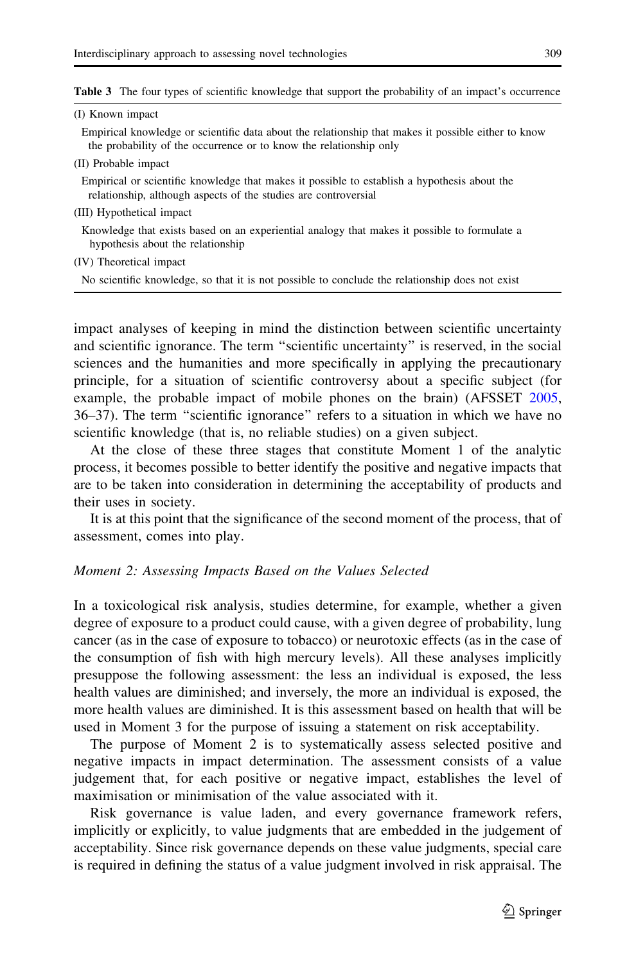<span id="page-16-0"></span>

| (I) Known impact                                                                                                                                                          |
|---------------------------------------------------------------------------------------------------------------------------------------------------------------------------|
| Empirical knowledge or scientific data about the relationship that makes it possible either to know<br>the probability of the occurrence or to know the relationship only |
| (II) Probable impact                                                                                                                                                      |
| Empirical or scientific knowledge that makes it possible to establish a hypothesis about the<br>relationship, although aspects of the studies are controversial           |
| (III) Hypothetical impact                                                                                                                                                 |
| Knowledge that exists based on an experiential analogy that makes it possible to formulate a<br>hypothesis about the relationship                                         |
| (IV) Theoretical impact                                                                                                                                                   |
| No scientific knowledge, so that it is not possible to conclude the relationship does not exist                                                                           |

impact analyses of keeping in mind the distinction between scientific uncertainty and scientific ignorance. The term ''scientific uncertainty'' is reserved, in the social sciences and the humanities and more specifically in applying the precautionary principle, for a situation of scientific controversy about a specific subject (for example, the probable impact of mobile phones on the brain) (AFSSET [2005,](#page-21-0) 36–37). The term ''scientific ignorance'' refers to a situation in which we have no scientific knowledge (that is, no reliable studies) on a given subject.

At the close of these three stages that constitute Moment 1 of the analytic process, it becomes possible to better identify the positive and negative impacts that are to be taken into consideration in determining the acceptability of products and their uses in society.

It is at this point that the significance of the second moment of the process, that of assessment, comes into play.

# Moment 2: Assessing Impacts Based on the Values Selected

In a toxicological risk analysis, studies determine, for example, whether a given degree of exposure to a product could cause, with a given degree of probability, lung cancer (as in the case of exposure to tobacco) or neurotoxic effects (as in the case of the consumption of fish with high mercury levels). All these analyses implicitly presuppose the following assessment: the less an individual is exposed, the less health values are diminished; and inversely, the more an individual is exposed, the more health values are diminished. It is this assessment based on health that will be used in Moment 3 for the purpose of issuing a statement on risk acceptability.

The purpose of Moment 2 is to systematically assess selected positive and negative impacts in impact determination. The assessment consists of a value judgement that, for each positive or negative impact, establishes the level of maximisation or minimisation of the value associated with it.

Risk governance is value laden, and every governance framework refers, implicitly or explicitly, to value judgments that are embedded in the judgement of acceptability. Since risk governance depends on these value judgments, special care is required in defining the status of a value judgment involved in risk appraisal. The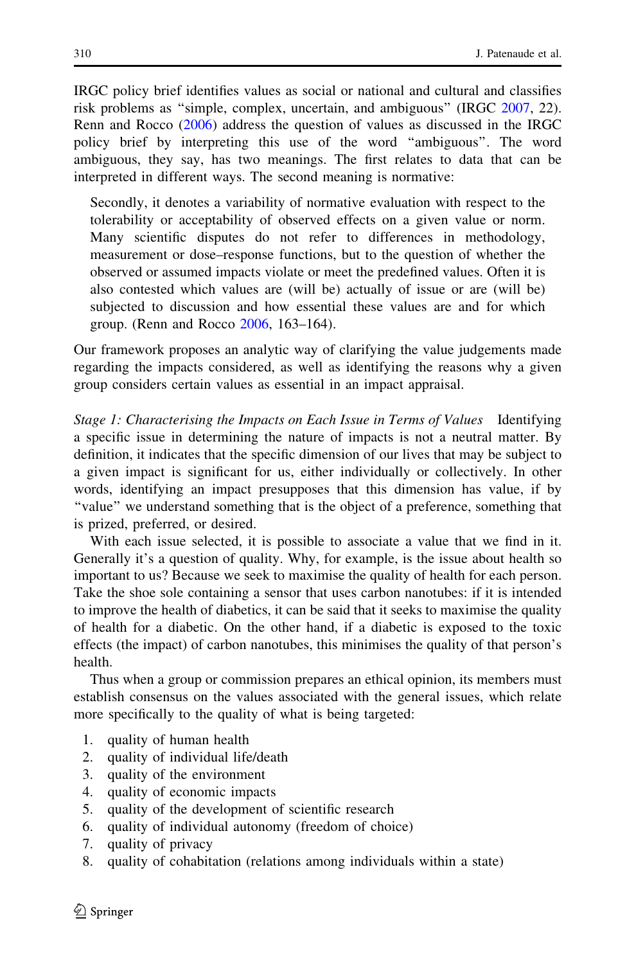IRGC policy brief identifies values as social or national and cultural and classifies risk problems as ''simple, complex, uncertain, and ambiguous'' (IRGC [2007](#page-21-0), 22). Renn and Rocco ([2006\)](#page-22-0) address the question of values as discussed in the IRGC policy brief by interpreting this use of the word ''ambiguous''. The word ambiguous, they say, has two meanings. The first relates to data that can be interpreted in different ways. The second meaning is normative:

Secondly, it denotes a variability of normative evaluation with respect to the tolerability or acceptability of observed effects on a given value or norm. Many scientific disputes do not refer to differences in methodology, measurement or dose–response functions, but to the question of whether the observed or assumed impacts violate or meet the predefined values. Often it is also contested which values are (will be) actually of issue or are (will be) subjected to discussion and how essential these values are and for which group. (Renn and Rocco [2006,](#page-22-0) 163–164).

Our framework proposes an analytic way of clarifying the value judgements made regarding the impacts considered, as well as identifying the reasons why a given group considers certain values as essential in an impact appraisal.

Stage 1: Characterising the Impacts on Each Issue in Terms of Values Identifying a specific issue in determining the nature of impacts is not a neutral matter. By definition, it indicates that the specific dimension of our lives that may be subject to a given impact is significant for us, either individually or collectively. In other words, identifying an impact presupposes that this dimension has value, if by ''value'' we understand something that is the object of a preference, something that is prized, preferred, or desired.

With each issue selected, it is possible to associate a value that we find in it. Generally it's a question of quality. Why, for example, is the issue about health so important to us? Because we seek to maximise the quality of health for each person. Take the shoe sole containing a sensor that uses carbon nanotubes: if it is intended to improve the health of diabetics, it can be said that it seeks to maximise the quality of health for a diabetic. On the other hand, if a diabetic is exposed to the toxic effects (the impact) of carbon nanotubes, this minimises the quality of that person's health.

Thus when a group or commission prepares an ethical opinion, its members must establish consensus on the values associated with the general issues, which relate more specifically to the quality of what is being targeted:

- 1. quality of human health
- 2. quality of individual life/death
- 3. quality of the environment
- 4. quality of economic impacts
- 5. quality of the development of scientific research
- 6. quality of individual autonomy (freedom of choice)
- 7. quality of privacy
- 8. quality of cohabitation (relations among individuals within a state)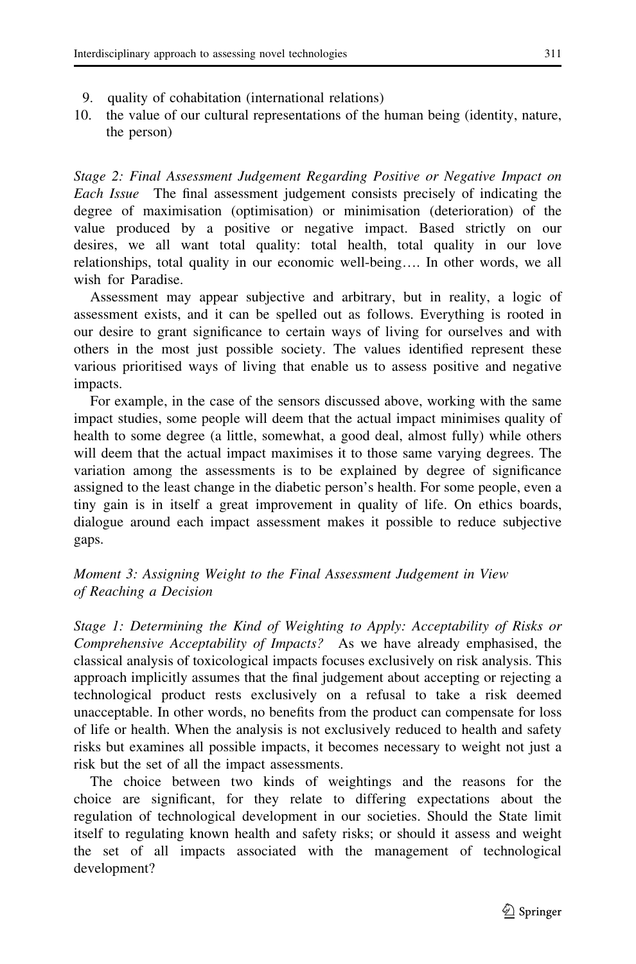- 9. quality of cohabitation (international relations)
- 10. the value of our cultural representations of the human being (identity, nature, the person)

Stage 2: Final Assessment Judgement Regarding Positive or Negative Impact on Each Issue The final assessment judgement consists precisely of indicating the degree of maximisation (optimisation) or minimisation (deterioration) of the value produced by a positive or negative impact. Based strictly on our desires, we all want total quality: total health, total quality in our love relationships, total quality in our economic well-being…. In other words, we all wish for Paradise.

Assessment may appear subjective and arbitrary, but in reality, a logic of assessment exists, and it can be spelled out as follows. Everything is rooted in our desire to grant significance to certain ways of living for ourselves and with others in the most just possible society. The values identified represent these various prioritised ways of living that enable us to assess positive and negative impacts.

For example, in the case of the sensors discussed above, working with the same impact studies, some people will deem that the actual impact minimises quality of health to some degree (a little, somewhat, a good deal, almost fully) while others will deem that the actual impact maximises it to those same varying degrees. The variation among the assessments is to be explained by degree of significance assigned to the least change in the diabetic person's health. For some people, even a tiny gain is in itself a great improvement in quality of life. On ethics boards, dialogue around each impact assessment makes it possible to reduce subjective gaps.

Moment 3: Assigning Weight to the Final Assessment Judgement in View of Reaching a Decision

Stage 1: Determining the Kind of Weighting to Apply: Acceptability of Risks or Comprehensive Acceptability of Impacts? As we have already emphasised, the classical analysis of toxicological impacts focuses exclusively on risk analysis. This approach implicitly assumes that the final judgement about accepting or rejecting a technological product rests exclusively on a refusal to take a risk deemed unacceptable. In other words, no benefits from the product can compensate for loss of life or health. When the analysis is not exclusively reduced to health and safety risks but examines all possible impacts, it becomes necessary to weight not just a risk but the set of all the impact assessments.

The choice between two kinds of weightings and the reasons for the choice are significant, for they relate to differing expectations about the regulation of technological development in our societies. Should the State limit itself to regulating known health and safety risks; or should it assess and weight the set of all impacts associated with the management of technological development?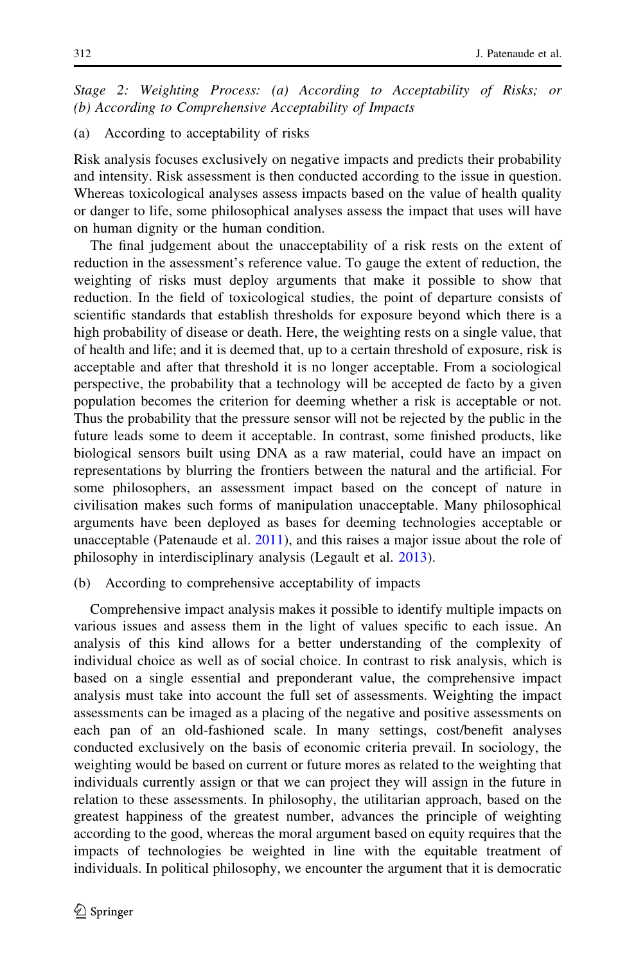Stage 2: Weighting Process: (a) According to Acceptability of Risks; or (b) According to Comprehensive Acceptability of Impacts

#### (a) According to acceptability of risks

Risk analysis focuses exclusively on negative impacts and predicts their probability and intensity. Risk assessment is then conducted according to the issue in question. Whereas toxicological analyses assess impacts based on the value of health quality or danger to life, some philosophical analyses assess the impact that uses will have on human dignity or the human condition.

The final judgement about the unacceptability of a risk rests on the extent of reduction in the assessment's reference value. To gauge the extent of reduction, the weighting of risks must deploy arguments that make it possible to show that reduction. In the field of toxicological studies, the point of departure consists of scientific standards that establish thresholds for exposure beyond which there is a high probability of disease or death. Here, the weighting rests on a single value, that of health and life; and it is deemed that, up to a certain threshold of exposure, risk is acceptable and after that threshold it is no longer acceptable. From a sociological perspective, the probability that a technology will be accepted de facto by a given population becomes the criterion for deeming whether a risk is acceptable or not. Thus the probability that the pressure sensor will not be rejected by the public in the future leads some to deem it acceptable. In contrast, some finished products, like biological sensors built using DNA as a raw material, could have an impact on representations by blurring the frontiers between the natural and the artificial. For some philosophers, an assessment impact based on the concept of nature in civilisation makes such forms of manipulation unacceptable. Many philosophical arguments have been deployed as bases for deeming technologies acceptable or unacceptable (Patenaude et al. [2011](#page-22-0)), and this raises a major issue about the role of philosophy in interdisciplinary analysis (Legault et al. [2013](#page-22-0)).

## (b) According to comprehensive acceptability of impacts

Comprehensive impact analysis makes it possible to identify multiple impacts on various issues and assess them in the light of values specific to each issue. An analysis of this kind allows for a better understanding of the complexity of individual choice as well as of social choice. In contrast to risk analysis, which is based on a single essential and preponderant value, the comprehensive impact analysis must take into account the full set of assessments. Weighting the impact assessments can be imaged as a placing of the negative and positive assessments on each pan of an old-fashioned scale. In many settings, cost/benefit analyses conducted exclusively on the basis of economic criteria prevail. In sociology, the weighting would be based on current or future mores as related to the weighting that individuals currently assign or that we can project they will assign in the future in relation to these assessments. In philosophy, the utilitarian approach, based on the greatest happiness of the greatest number, advances the principle of weighting according to the good, whereas the moral argument based on equity requires that the impacts of technologies be weighted in line with the equitable treatment of individuals. In political philosophy, we encounter the argument that it is democratic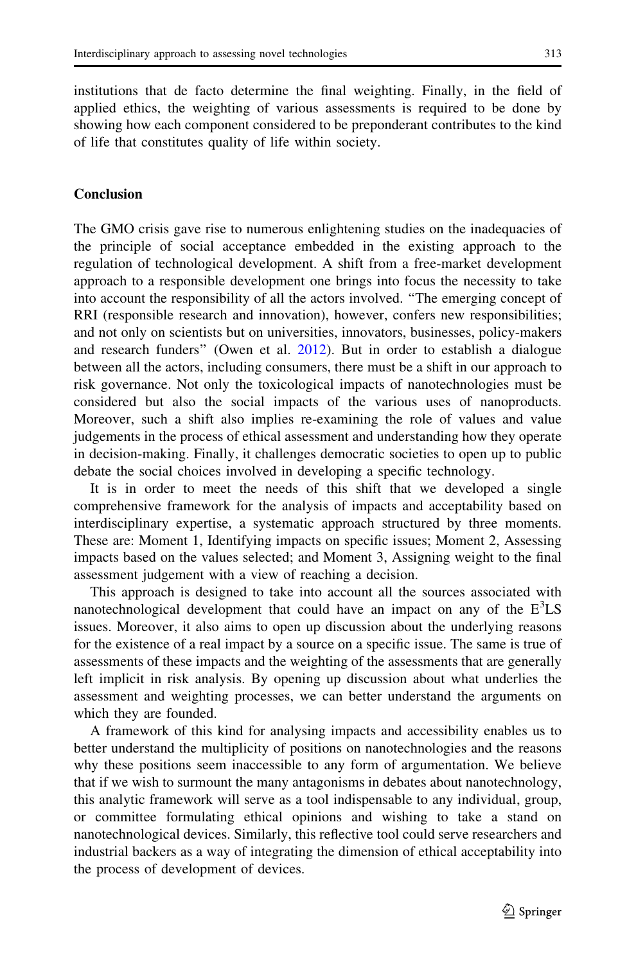institutions that de facto determine the final weighting. Finally, in the field of applied ethics, the weighting of various assessments is required to be done by showing how each component considered to be preponderant contributes to the kind of life that constitutes quality of life within society.

# Conclusion

The GMO crisis gave rise to numerous enlightening studies on the inadequacies of the principle of social acceptance embedded in the existing approach to the regulation of technological development. A shift from a free-market development approach to a responsible development one brings into focus the necessity to take into account the responsibility of all the actors involved. ''The emerging concept of RRI (responsible research and innovation), however, confers new responsibilities; and not only on scientists but on universities, innovators, businesses, policy-makers and research funders'' (Owen et al. [2012\)](#page-22-0). But in order to establish a dialogue between all the actors, including consumers, there must be a shift in our approach to risk governance. Not only the toxicological impacts of nanotechnologies must be considered but also the social impacts of the various uses of nanoproducts. Moreover, such a shift also implies re-examining the role of values and value judgements in the process of ethical assessment and understanding how they operate in decision-making. Finally, it challenges democratic societies to open up to public debate the social choices involved in developing a specific technology.

It is in order to meet the needs of this shift that we developed a single comprehensive framework for the analysis of impacts and acceptability based on interdisciplinary expertise, a systematic approach structured by three moments. These are: Moment 1, Identifying impacts on specific issues; Moment 2, Assessing impacts based on the values selected; and Moment 3, Assigning weight to the final assessment judgement with a view of reaching a decision.

This approach is designed to take into account all the sources associated with nanotechnological development that could have an impact on any of the  $E<sup>3</sup>LS$ issues. Moreover, it also aims to open up discussion about the underlying reasons for the existence of a real impact by a source on a specific issue. The same is true of assessments of these impacts and the weighting of the assessments that are generally left implicit in risk analysis. By opening up discussion about what underlies the assessment and weighting processes, we can better understand the arguments on which they are founded.

A framework of this kind for analysing impacts and accessibility enables us to better understand the multiplicity of positions on nanotechnologies and the reasons why these positions seem inaccessible to any form of argumentation. We believe that if we wish to surmount the many antagonisms in debates about nanotechnology, this analytic framework will serve as a tool indispensable to any individual, group, or committee formulating ethical opinions and wishing to take a stand on nanotechnological devices. Similarly, this reflective tool could serve researchers and industrial backers as a way of integrating the dimension of ethical acceptability into the process of development of devices.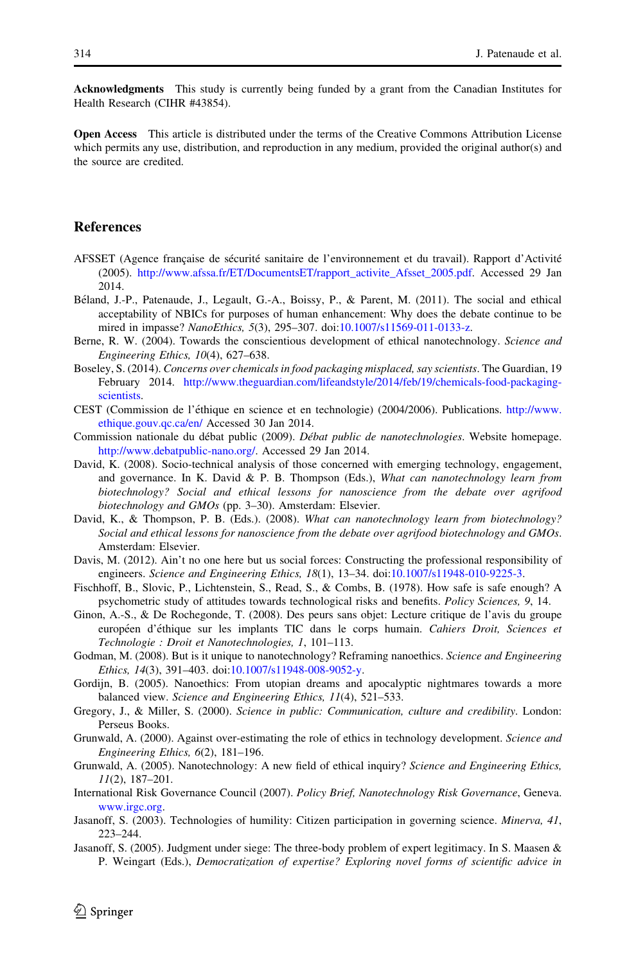<span id="page-21-0"></span>Acknowledgments This study is currently being funded by a grant from the Canadian Institutes for Health Research (CIHR #43854).

Open Access This article is distributed under the terms of the Creative Commons Attribution License which permits any use, distribution, and reproduction in any medium, provided the original author(s) and the source are credited.

## References

- AFSSET (Agence française de sécurité sanitaire de l'environnement et du travail). Rapport d'Activité (2005). [http://www.afssa.fr/ET/DocumentsET/rapport\\_activite\\_Afsset\\_2005.pdf](http://www.afssa.fr/ET/DocumentsET/rapport_activite_Afsset_2005.pdf). Accessed 29 Jan 2014.
- Béland, J.-P., Patenaude, J., Legault, G.-A., Boissy, P., & Parent, M. (2011). The social and ethical acceptability of NBICs for purposes of human enhancement: Why does the debate continue to be mired in impasse? NanoEthics, 5(3), 295-307. doi:[10.1007/s11569-011-0133-z.](http://dx.doi.org/10.1007/s11569-011-0133-z)
- Berne, R. W. (2004). Towards the conscientious development of ethical nanotechnology. Science and Engineering Ethics, 10(4), 627–638.
- Boseley, S. (2014). Concerns over chemicals in food packaging misplaced, say scientists. The Guardian, 19 February 2014. [http://www.theguardian.com/lifeandstyle/2014/feb/19/chemicals-food-packaging](http://www.theguardian.com/lifeandstyle/2014/feb/19/chemicals-food-packaging-scientists)[scientists](http://www.theguardian.com/lifeandstyle/2014/feb/19/chemicals-food-packaging-scientists).
- CEST (Commission de l'e´thique en science et en technologie) (2004/2006). Publications. [http://www.](http://www.ethique.gouv.qc.ca/en/) [ethique.gouv.qc.ca/en/](http://www.ethique.gouv.qc.ca/en/) Accessed 30 Jan 2014.
- Commission nationale du débat public (2009). *Débat public de nanotechnologies*. Website homepage. <http://www.debatpublic-nano.org/>. Accessed 29 Jan 2014.
- David, K. (2008). Socio-technical analysis of those concerned with emerging technology, engagement, and governance. In K. David & P. B. Thompson (Eds.), What can nanotechnology learn from biotechnology? Social and ethical lessons for nanoscience from the debate over agrifood biotechnology and GMOs (pp. 3–30). Amsterdam: Elsevier.
- David, K., & Thompson, P. B. (Eds.). (2008). What can nanotechnology learn from biotechnology? Social and ethical lessons for nanoscience from the debate over agrifood biotechnology and GMOs. Amsterdam: Elsevier.
- Davis, M. (2012). Ain't no one here but us social forces: Constructing the professional responsibility of engineers. Science and Engineering Ethics, 18(1), 13–34. doi[:10.1007/s11948-010-9225-3](http://dx.doi.org/10.1007/s11948-010-9225-3).
- Fischhoff, B., Slovic, P., Lichtenstein, S., Read, S., & Combs, B. (1978). How safe is safe enough? A psychometric study of attitudes towards technological risks and benefits. Policy Sciences, 9, 14.
- Ginon, A.-S., & De Rochegonde, T. (2008). Des peurs sans objet: Lecture critique de l'avis du groupe européen d'éthique sur les implants TIC dans le corps humain. Cahiers Droit, Sciences et Technologie : Droit et Nanotechnologies, 1, 101–113.
- Godman, M. (2008). But is it unique to nanotechnology? Reframing nanoethics. Science and Engineering Ethics, 14(3), 391–403. doi[:10.1007/s11948-008-9052-y](http://dx.doi.org/10.1007/s11948-008-9052-y).
- Gordijn, B. (2005). Nanoethics: From utopian dreams and apocalyptic nightmares towards a more balanced view. Science and Engineering Ethics, 11(4), 521–533.
- Gregory, J., & Miller, S. (2000). Science in public: Communication, culture and credibility. London: Perseus Books.
- Grunwald, A. (2000). Against over-estimating the role of ethics in technology development. Science and Engineering Ethics, 6(2), 181–196.
- Grunwald, A. (2005). Nanotechnology: A new field of ethical inquiry? Science and Engineering Ethics, 11(2), 187–201.
- International Risk Governance Council (2007). Policy Brief, Nanotechnology Risk Governance, Geneva. [www.irgc.org](http://www.irgc.org).
- Jasanoff, S. (2003). Technologies of humility: Citizen participation in governing science. Minerva, 41, 223–244.
- Jasanoff, S. (2005). Judgment under siege: The three-body problem of expert legitimacy. In S. Maasen & P. Weingart (Eds.), Democratization of expertise? Exploring novel forms of scientific advice in